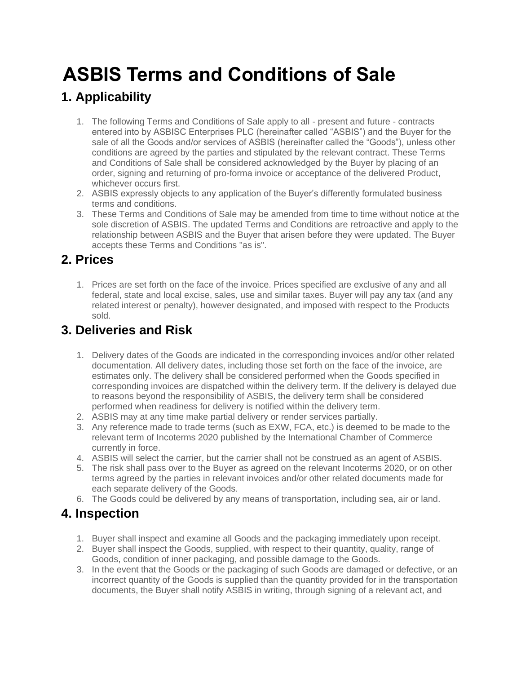# **ASBIS Terms and Conditions of Sale**

## **1. Applicability**

- 1. The following Terms and Conditions of Sale apply to all present and future contracts entered into by ASBISC Enterprises PLC (hereinafter called "ASBIS") and the Buyer for the sale of all the Goods and/or services of ASBIS (hereinafter called the "Goods"), unless other conditions are agreed by the parties and stipulated by the relevant contract. These Terms and Conditions of Sale shall be considered acknowledged by the Buyer by placing of an order, signing and returning of pro-forma invoice or acceptance of the delivered Product, whichever occurs first.
- 2. ASBIS expressly objects to any application of the Buyer's differently formulated business terms and conditions.
- 3. These Terms and Conditions of Sale may be amended from time to time without notice at the sole discretion of ASBIS. The updated Terms and Conditions are retroactive and apply to the relationship between ASBIS and the Buyer that arisen before they were updated. The Buyer accepts these Terms and Conditions "as is".

## **2. Prices**

1. Prices are set forth on the face of the invoice. Prices specified are exclusive of any and all federal, state and local excise, sales, use and similar taxes. Buyer will pay any tax (and any related interest or penalty), however designated, and imposed with respect to the Products sold.

## **3. Deliveries and Risk**

- 1. Delivery dates of the Goods are indicated in the corresponding invoices and/or other related documentation. All delivery dates, including those set forth on the face of the invoice, are estimates only. The delivery shall be considered performed when the Goods specified in corresponding invoices are dispatched within the delivery term. If the delivery is delayed due to reasons beyond the responsibility of ASBIS, the delivery term shall be considered performed when readiness for delivery is notified within the delivery term.
- 2. ASBIS may at any time make partial delivery or render services partially.
- 3. Any reference made to trade terms (such as EXW, FCA, etc.) is deemed to be made to the relevant term of Incoterms 2020 published by the International Chamber of Commerce currently in force.
- 4. ASBIS will select the carrier, but the carrier shall not be construed as an agent of ASBIS.
- 5. The risk shall pass over to the Buyer as agreed on the relevant Incoterms 2020, or on other terms agreed by the parties in relevant invoices and/or other related documents made for each separate delivery of the Goods.
- 6. The Goods could be delivered by any means of transportation, including sea, air or land.

## **4. Inspection**

- 1. Buyer shall inspect and examine all Goods and the packaging immediately upon receipt.
- 2. Buyer shall inspect the Goods, supplied, with respect to their quantity, quality, range of Goods, condition of inner packaging, and possible damage to the Goods.
- 3. In the event that the Goods or the packaging of such Goods are damaged or defective, or an incorrect quantity of the Goods is supplied than the quantity provided for in the transportation documents, the Buyer shall notify ASBIS in writing, through signing of a relevant act, and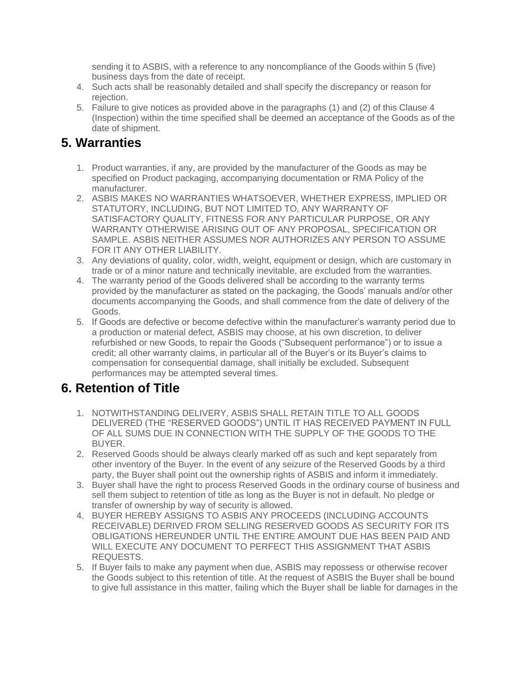sending it to ASBIS, with a reference to any noncompliance of the Goods within 5 (five) business days from the date of receipt.

- 4. Such acts shall be reasonably detailed and shall specify the discrepancy or reason for rejection.
- 5. Failure to give notices as provided above in the paragraphs (1) and (2) of this Clause 4 (Inspection) within the time specified shall be deemed an acceptance of the Goods as of the date of shipment.

#### **5. Warranties**

- 1. Product warranties, if any, are provided by the manufacturer of the Goods as may be specified on Product packaging, accompanying documentation or RMA Policy of the manufacturer.
- 2. ASBIS MAKES NO WARRANTIES WHATSOEVER, WHETHER EXPRESS, IMPLIED OR STATUTORY, INCLUDING, BUT NOT LIMITED TO, ANY WARRANTY OF SATISFACTORY QUALITY, FITNESS FOR ANY PARTICULAR PURPOSE, OR ANY WARRANTY OTHERWISE ARISING OUT OF ANY PROPOSAL, SPECIFICATION OR SAMPLE. ASBIS NEITHER ASSUMES NOR AUTHORIZES ANY PERSON TO ASSUME FOR IT ANY OTHER LIABILITY.
- 3. Any deviations of quality, color, width, weight, equipment or design, which are customary in trade or of a minor nature and technically inevitable, are excluded from the warranties.
- 4. The warranty period of the Goods delivered shall be according to the warranty terms provided by the manufacturer as stated on the packaging, the Goods' manuals and/or other documents accompanying the Goods, and shall commence from the date of delivery of the Goods.
- 5. If Goods are defective or become defective within the manufacturer's warranty period due to a production or material defect, ASBIS may choose, at his own discretion, to deliver refurbished or new Goods, to repair the Goods ("Subsequent performance") or to issue a credit; all other warranty claims, in particular all of the Buyer's or its Buyer's claims to compensation for consequential damage, shall initially be excluded. Subsequent performances may be attempted several times.

## **6. Retention of Title**

- 1. NOTWITHSTANDING DELIVERY, ASBIS SHALL RETAIN TITLE TO ALL GOODS DELIVERED (THE "RESERVED GOODS") UNTIL IT HAS RECEIVED PAYMENT IN FULL OF ALL SUMS DUE IN CONNECTION WITH THE SUPPLY OF THE GOODS TO THE BUYER.
- 2. Reserved Goods should be always clearly marked off as such and kept separately from other inventory of the Buyer. In the event of any seizure of the Reserved Goods by a third party, the Buyer shall point out the ownership rights of ASBIS and inform it immediately.
- 3. Buyer shall have the right to process Reserved Goods in the ordinary course of business and sell them subject to retention of title as long as the Buyer is not in default. No pledge or transfer of ownership by way of security is allowed.
- 4. BUYER HEREBY ASSIGNS TO ASBIS ANY PROCEEDS (INCLUDING ACCOUNTS RECEIVABLE) DERIVED FROM SELLING RESERVED GOODS AS SECURITY FOR ITS OBLIGATIONS HEREUNDER UNTIL THE ENTIRE AMOUNT DUE HAS BEEN PAID AND WILL EXECUTE ANY DOCUMENT TO PERFECT THIS ASSIGNMENT THAT ASBIS REQUESTS.
- 5. If Buyer fails to make any payment when due, ASBIS may repossess or otherwise recover the Goods subject to this retention of title. At the request of ASBIS the Buyer shall be bound to give full assistance in this matter, failing which the Buyer shall be liable for damages in the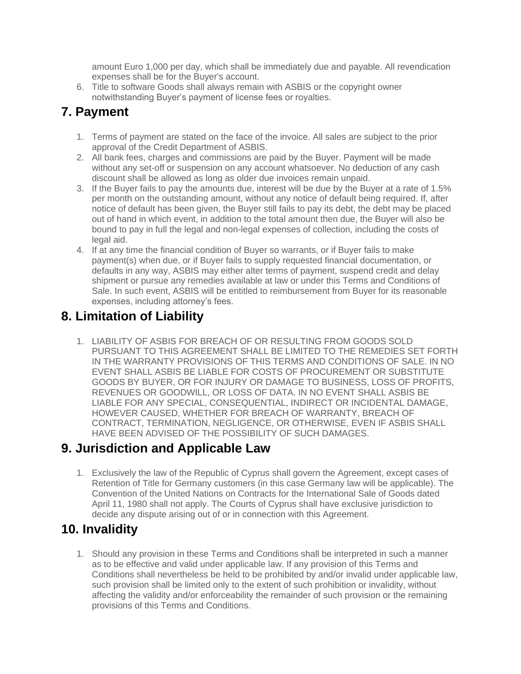amount Euro 1,000 per day, which shall be immediately due and payable. All revendication expenses shall be for the Buyer's account.

6. Title to software Goods shall always remain with ASBIS or the copyright owner notwithstanding Buyer's payment of license fees or royalties.

## **7. Payment**

- 1. Terms of payment are stated on the face of the invoice. All sales are subject to the prior approval of the Credit Department of ASBIS.
- 2. All bank fees, charges and commissions are paid by the Buyer. Payment will be made without any set-off or suspension on any account whatsoever. No deduction of any cash discount shall be allowed as long as older due invoices remain unpaid.
- 3. If the Buyer fails to pay the amounts due, interest will be due by the Buyer at a rate of 1.5% per month on the outstanding amount, without any notice of default being required. If, after notice of default has been given, the Buyer still fails to pay its debt, the debt may be placed out of hand in which event, in addition to the total amount then due, the Buyer will also be bound to pay in full the legal and non-legal expenses of collection, including the costs of legal aid.
- 4. If at any time the financial condition of Buyer so warrants, or if Buyer fails to make payment(s) when due, or if Buyer fails to supply requested financial documentation, or defaults in any way, ASBIS may either alter terms of payment, suspend credit and delay shipment or pursue any remedies available at law or under this Terms and Conditions of Sale. In such event, ASBIS will be entitled to reimbursement from Buyer for its reasonable expenses, including attorney's fees.

## **8. Limitation of Liability**

1. LIABILITY OF ASBIS FOR BREACH OF OR RESULTING FROM GOODS SOLD PURSUANT TO THIS AGREEMENT SHALL BE LIMITED TO THE REMEDIES SET FORTH IN THE WARRANTY PROVISIONS OF THIS TERMS AND CONDITIONS OF SALE. IN NO EVENT SHALL ASBIS BE LIABLE FOR COSTS OF PROCUREMENT OR SUBSTITUTE GOODS BY BUYER, OR FOR INJURY OR DAMAGE TO BUSINESS, LOSS OF PROFITS, REVENUES OR GOODWILL, OR LOSS OF DATA. IN NO EVENT SHALL ASBIS BE LIABLE FOR ANY SPECIAL, CONSEQUENTIAL, INDIRECT OR INCIDENTAL DAMAGE, HOWEVER CAUSED, WHETHER FOR BREACH OF WARRANTY, BREACH OF CONTRACT, TERMINATION, NEGLIGENCE, OR OTHERWISE, EVEN IF ASBIS SHALL HAVE BEEN ADVISED OF THE POSSIBILITY OF SUCH DAMAGES.

## **9. Jurisdiction and Applicable Law**

1. Exclusively the law of the Republic of Cyprus shall govern the Agreement, except cases of Retention of Title for Germany customers (in this case Germany law will be applicable). The Convention of the United Nations on Contracts for the International Sale of Goods dated April 11, 1980 shall not apply. The Courts of Cyprus shall have exclusive jurisdiction to decide any dispute arising out of or in connection with this Agreement.

## **10. Invalidity**

1. Should any provision in these Terms and Conditions shall be interpreted in such a manner as to be effective and valid under applicable law. If any provision of this Terms and Conditions shall nevertheless be held to be prohibited by and/or invalid under applicable law, such provision shall be limited only to the extent of such prohibition or invalidity, without affecting the validity and/or enforceability the remainder of such provision or the remaining provisions of this Terms and Conditions.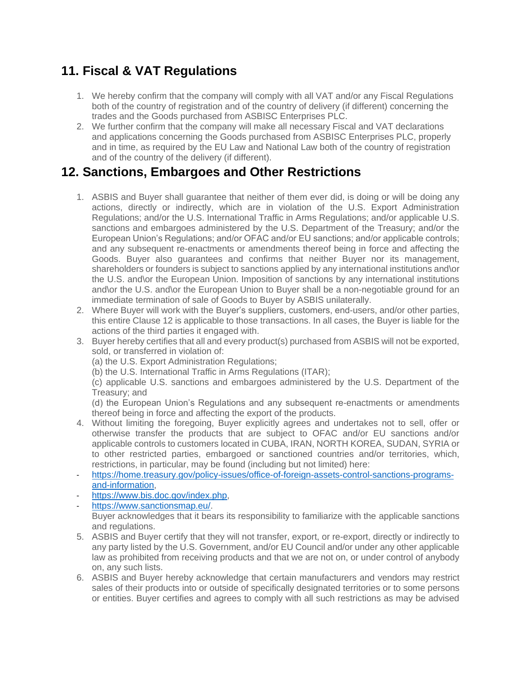## **11. Fiscal & VAT Regulations**

- 1. We hereby confirm that the company will comply with all VAT and/or any Fiscal Regulations both of the country of registration and of the country of delivery (if different) concerning the trades and the Goods purchased from ASBISC Enterprises PLC.
- 2. We further confirm that the company will make all necessary Fiscal and VAT declarations and applications concerning the Goods purchased from ASBISC Enterprises PLC, properly and in time, as required by the EU Law and National Law both of the country of registration and of the country of the delivery (if different).

## **12. Sanctions, Embargoes and Other Restrictions**

- 1. ASBIS and Buyer shall guarantee that neither of them ever did, is doing or will be doing any actions, directly or indirectly, which are in violation of the U.S. Export Administration Regulations; and/or the U.S. International Traffic in Arms Regulations; and/or applicable U.S. sanctions and embargoes administered by the U.S. Department of the Treasury; and/or the European Union's Regulations; and/or OFAC and/or EU sanctions; and/or applicable controls; and any subsequent re-enactments or amendments thereof being in force and affecting the Goods. Buyer also guarantees and confirms that neither Buyer nor its management, shareholders or founders is subject to sanctions applied by any international institutions and\or the U.S. and\or the European Union. Imposition of sanctions by any international institutions and\or the U.S. and\or the European Union to Buyer shall be a non-negotiable ground for an immediate termination of sale of Goods to Buyer by ASBIS unilaterally.
- 2. Where Buyer will work with the Buyer's suppliers, customers, end-users, and/or other parties, this entire Clause 12 is applicable to those transactions. In all cases, the Buyer is liable for the actions of the third parties it engaged with.
- 3. Buyer hereby certifies that all and every product(s) purchased from ASBIS will not be exported, sold, or transferred in violation of:

(a) the U.S. Export Administration Regulations;

(b) the U.S. International Traffic in Arms Regulations (ITAR);

(c) applicable U.S. sanctions and embargoes administered by the U.S. Department of the Treasury; and

(d) the European Union's Regulations and any subsequent re-enactments or amendments thereof being in force and affecting the export of the products.

- 4. Without limiting the foregoing, Buyer explicitly agrees and undertakes not to sell, offer or otherwise transfer the products that are subject to OFAC and/or EU sanctions and/or applicable controls to customers located in CUBA, IRAN, NORTH KOREA, SUDAN, SYRIA or to other restricted parties, embargoed or sanctioned countries and/or territories, which, restrictions, in particular, may be found (including but not limited) here:
- [https://home.treasury.gov/policy-issues/office-of-foreign-assets-control-sanctions-programs](https://home.treasury.gov/policy-issues/office-of-foreign-assets-control-sanctions-programs-and-information)[and-information,](https://home.treasury.gov/policy-issues/office-of-foreign-assets-control-sanctions-programs-and-information)
- [https://www.bis.doc.gov/index.php,](https://www.bis.doc.gov/index.php)
- [https://www.sanctionsmap.eu/.](https://www.sanctionsmap.eu/) Buyer acknowledges that it bears its responsibility to familiarize with the applicable sanctions and regulations.
- 5. ASBIS and Buyer certify that they will not transfer, export, or re-export, directly or indirectly to any party listed by the U.S. Government, and/or EU Council and/or under any other applicable law as prohibited from receiving products and that we are not on, or under control of anybody on, any such lists.
- 6. ASBIS and Buyer hereby acknowledge that certain manufacturers and vendors may restrict sales of their products into or outside of specifically designated territories or to some persons or entities. Buyer certifies and agrees to comply with all such restrictions as may be advised